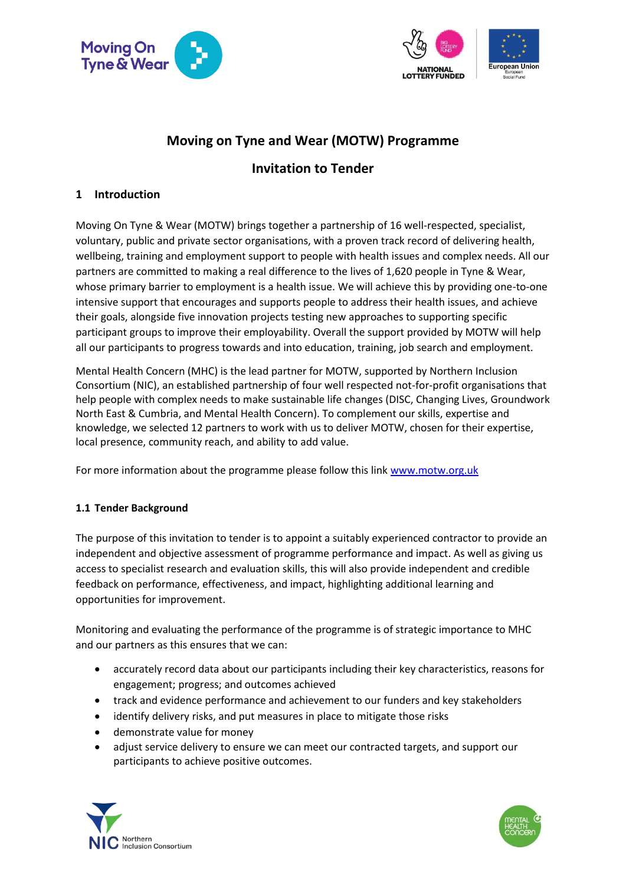



# **Moving on Tyne and Wear (MOTW) Programme**

# **Invitation to Tender**

# **1 Introduction**

Moving On Tyne & Wear (MOTW) brings together a partnership of 16 well-respected, specialist, voluntary, public and private sector organisations, with a proven track record of delivering health, wellbeing, training and employment support to people with health issues and complex needs. All our partners are committed to making a real difference to the lives of 1,620 people in Tyne & Wear, whose primary barrier to employment is a health issue. We will achieve this by providing one-to-one intensive support that encourages and supports people to address their health issues, and achieve their goals, alongside five innovation projects testing new approaches to supporting specific participant groups to improve their employability. Overall the support provided by MOTW will help all our participants to progress towards and into education, training, job search and employment.

Mental Health Concern (MHC) is the lead partner for MOTW, supported by Northern Inclusion Consortium (NIC), an established partnership of four well respected not-for-profit organisations that help people with complex needs to make sustainable life changes (DISC, Changing Lives, Groundwork North East & Cumbria, and Mental Health Concern). To complement our skills, expertise and knowledge, we selected 12 partners to work with us to deliver MOTW, chosen for their expertise, local presence, community reach, and ability to add value.

For more information about the programme please follow this link [www.motw.org.uk](http://www.motw.org.uk/)

# **1.1 Tender Background**

The purpose of this invitation to tender is to appoint a suitably experienced contractor to provide an independent and objective assessment of programme performance and impact. As well as giving us access to specialist research and evaluation skills, this will also provide independent and credible feedback on performance, effectiveness, and impact, highlighting additional learning and opportunities for improvement.

Monitoring and evaluating the performance of the programme is of strategic importance to MHC and our partners as this ensures that we can:

- accurately record data about our participants including their key characteristics, reasons for engagement; progress; and outcomes achieved
- track and evidence performance and achievement to our funders and key stakeholders
- identify delivery risks, and put measures in place to mitigate those risks
- demonstrate value for money
- adjust service delivery to ensure we can meet our contracted targets, and support our participants to achieve positive outcomes.



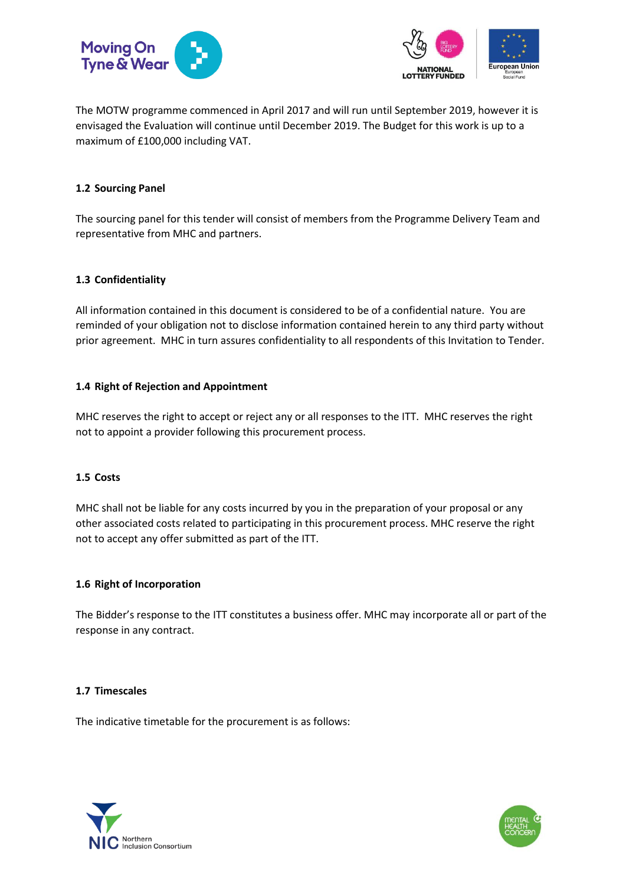



The MOTW programme commenced in April 2017 and will run until September 2019, however it is envisaged the Evaluation will continue until December 2019. The Budget for this work is up to a maximum of £100,000 including VAT.

### **1.2 Sourcing Panel**

The sourcing panel for this tender will consist of members from the Programme Delivery Team and representative from MHC and partners.

#### **1.3 Confidentiality**

All information contained in this document is considered to be of a confidential nature. You are reminded of your obligation not to disclose information contained herein to any third party without prior agreement. MHC in turn assures confidentiality to all respondents of this Invitation to Tender.

#### **1.4 Right of Rejection and Appointment**

MHC reserves the right to accept or reject any or all responses to the ITT. MHC reserves the right not to appoint a provider following this procurement process.

#### **1.5 Costs**

MHC shall not be liable for any costs incurred by you in the preparation of your proposal or any other associated costs related to participating in this procurement process. MHC reserve the right not to accept any offer submitted as part of the ITT.

#### **1.6 Right of Incorporation**

The Bidder's response to the ITT constitutes a business offer. MHC may incorporate all or part of the response in any contract.

#### **1.7 Timescales**

The indicative timetable for the procurement is as follows:



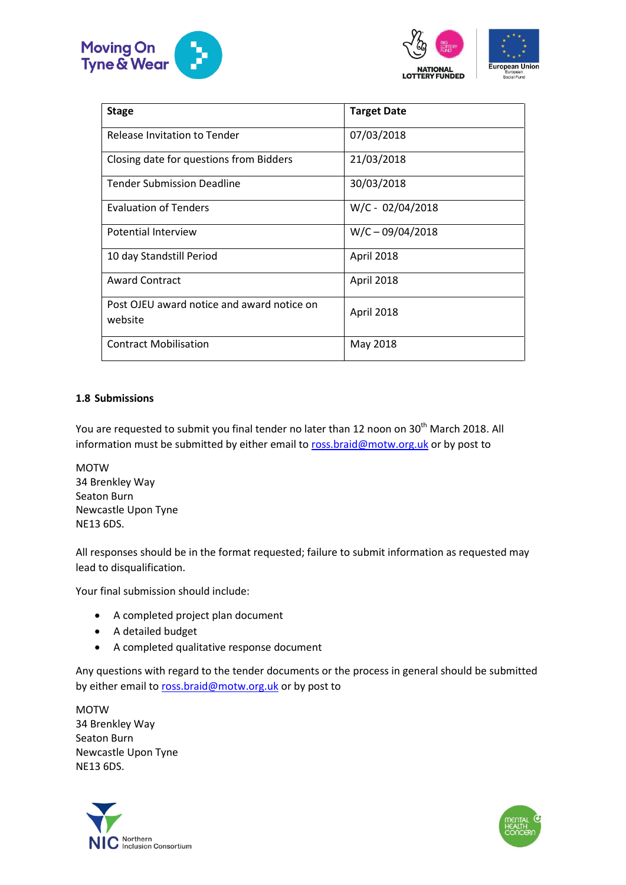



| European Union<br>European<br>Social Fund |  |
|-------------------------------------------|--|

| <b>Stage</b>                                          | <b>Target Date</b> |
|-------------------------------------------------------|--------------------|
|                                                       |                    |
| Release Invitation to Tender                          | 07/03/2018         |
| Closing date for questions from Bidders               | 21/03/2018         |
| <b>Tender Submission Deadline</b>                     | 30/03/2018         |
| <b>Evaluation of Tenders</b>                          | $W/C - 02/04/2018$ |
| Potential Interview                                   | $W/C - 09/04/2018$ |
| 10 day Standstill Period                              | April 2018         |
| <b>Award Contract</b>                                 | April 2018         |
| Post OJEU award notice and award notice on<br>website | April 2018         |
| <b>Contract Mobilisation</b>                          | May 2018           |

## **1.8 Submissions**

You are requested to submit you final tender no later than 12 noon on 30<sup>th</sup> March 2018. All information must be submitted by either email to [ross.braid@motw.org.uk](mailto:ross.braid@motw.org.uk) or by post to

MOTW 34 Brenkley Way Seaton Burn Newcastle Upon Tyne NE13 6DS.

All responses should be in the format requested; failure to submit information as requested may lead to disqualification.

Your final submission should include:

- A completed project plan document
- A detailed budget
- A completed qualitative response document

Any questions with regard to the tender documents or the process in general should be submitted by either email t[o ross.braid@motw.org.uk](mailto:ross.braid@motw.org.uk) or by post to

**MOTW** 34 Brenkley Way Seaton Burn Newcastle Upon Tyne NE13 6DS.